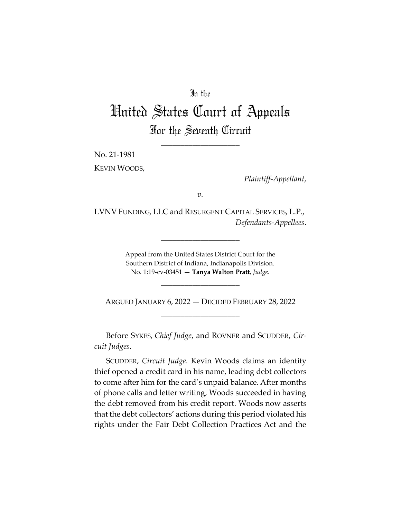## In the

# United States Court of Appeals For the Seventh Circuit

\_\_\_\_\_\_\_\_\_\_\_\_\_\_\_\_\_\_\_\_

No. 21-1981

KEVIN WOODS,

*Plaintiff-Appellant*,

*v.*

LVNV FUNDING, LLC and RESURGENT CAPITAL SERVICES, L.P., *Defendants-Appellees*.

\_\_\_\_\_\_\_\_\_\_\_\_\_\_\_\_\_\_\_\_

Appeal from the United States District Court for the Southern District of Indiana, Indianapolis Division. No. 1:19-cv-03451 — **Tanya Walton Pratt**, *Judge*.

\_\_\_\_\_\_\_\_\_\_\_\_\_\_\_\_\_\_\_\_

ARGUED JANUARY 6, 2022 — DECIDED FEBRUARY 28, 2022 \_\_\_\_\_\_\_\_\_\_\_\_\_\_\_\_\_\_\_\_

Before SYKES, *Chief Judge*, and ROVNER and SCUDDER, *Circuit Judges*.

SCUDDER, *Circuit Judge*. Kevin Woods claims an identity thief opened a credit card in his name, leading debt collectors to come after him for the card's unpaid balance. After months of phone calls and letter writing, Woods succeeded in having the debt removed from his credit report. Woods now asserts that the debt collectors' actions during this period violated his rights under the Fair Debt Collection Practices Act and the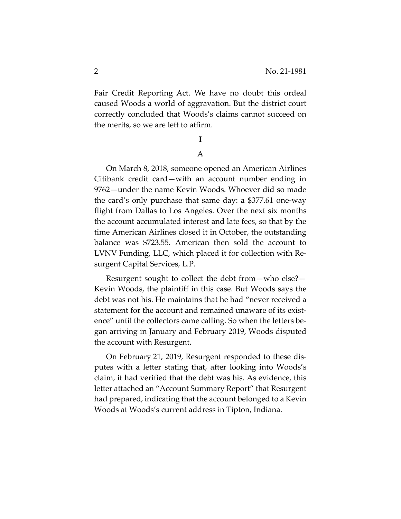Fair Credit Reporting Act. We have no doubt this ordeal caused Woods a world of aggravation. But the district court correctly concluded that Woods's claims cannot succeed on the merits, so we are left to affirm.

### **I**

## A

On March 8, 2018, someone opened an American Airlines Citibank credit card—with an account number ending in 9762—under the name Kevin Woods. Whoever did so made the card's only purchase that same day: a \$377.61 one-way flight from Dallas to Los Angeles. Over the next six months the account accumulated interest and late fees, so that by the time American Airlines closed it in October, the outstanding balance was \$723.55. American then sold the account to LVNV Funding, LLC, which placed it for collection with Resurgent Capital Services, L.P.

Resurgent sought to collect the debt from—who else?— Kevin Woods, the plaintiff in this case. But Woods says the debt was not his. He maintains that he had "never received a statement for the account and remained unaware of its existence" until the collectors came calling. So when the letters began arriving in January and February 2019, Woods disputed the account with Resurgent.

On February 21, 2019, Resurgent responded to these disputes with a letter stating that, after looking into Woods's claim, it had verified that the debt was his. As evidence, this letter attached an "Account Summary Report" that Resurgent had prepared, indicating that the account belonged to a Kevin Woods at Woods's current address in Tipton, Indiana.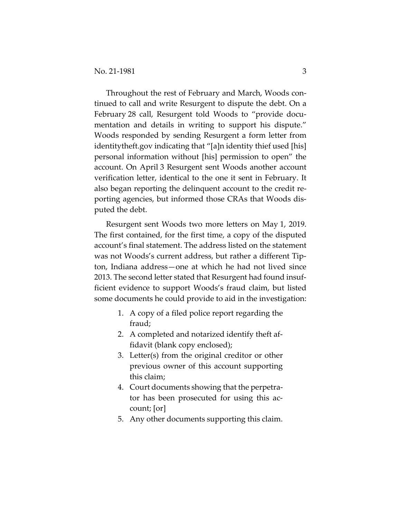Throughout the rest of February and March, Woods continued to call and write Resurgent to dispute the debt. On a February 28 call, Resurgent told Woods to "provide documentation and details in writing to support his dispute." Woods responded by sending Resurgent a form letter from identitytheft.gov indicating that "[a]n identity thief used [his] personal information without [his] permission to open" the account. On April 3 Resurgent sent Woods another account verification letter, identical to the one it sent in February. It also began reporting the delinquent account to the credit reporting agencies, but informed those CRAs that Woods disputed the debt.

Resurgent sent Woods two more letters on May 1, 2019. The first contained, for the first time, a copy of the disputed account's final statement. The address listed on the statement was not Woods's current address, but rather a different Tipton, Indiana address—one at which he had not lived since 2013. The second letter stated that Resurgent had found insufficient evidence to support Woods's fraud claim, but listed some documents he could provide to aid in the investigation:

- 1. A copy of a filed police report regarding the fraud;
- 2. A completed and notarized identify theft affidavit (blank copy enclosed);
- 3. Letter(s) from the original creditor or other previous owner of this account supporting this claim;
- 4. Court documents showing that the perpetrator has been prosecuted for using this account; [or]
- 5. Any other documents supporting this claim.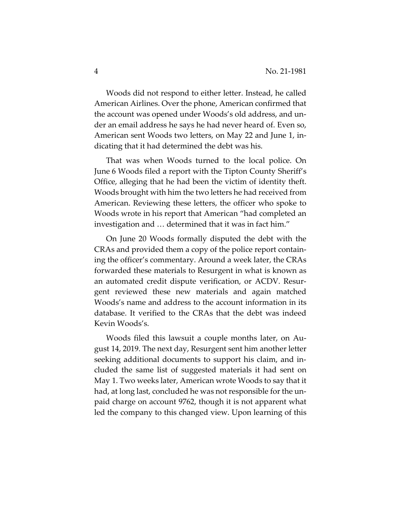Woods did not respond to either letter. Instead, he called American Airlines. Over the phone, American confirmed that the account was opened under Woods's old address, and under an email address he says he had never heard of. Even so, American sent Woods two letters, on May 22 and June 1, indicating that it had determined the debt was his.

That was when Woods turned to the local police. On June 6 Woods filed a report with the Tipton County Sheriff's Office, alleging that he had been the victim of identity theft. Woods brought with him the two letters he had received from American. Reviewing these letters, the officer who spoke to Woods wrote in his report that American "had completed an investigation and … determined that it was in fact him."

On June 20 Woods formally disputed the debt with the CRAs and provided them a copy of the police report containing the officer's commentary. Around a week later, the CRAs forwarded these materials to Resurgent in what is known as an automated credit dispute verification, or ACDV. Resurgent reviewed these new materials and again matched Woods's name and address to the account information in its database. It verified to the CRAs that the debt was indeed Kevin Woods's.

Woods filed this lawsuit a couple months later, on August 14, 2019. The next day, Resurgent sent him another letter seeking additional documents to support his claim, and included the same list of suggested materials it had sent on May 1. Two weeks later, American wrote Woods to say that it had, at long last, concluded he was not responsible for the unpaid charge on account 9762, though it is not apparent what led the company to this changed view. Upon learning of this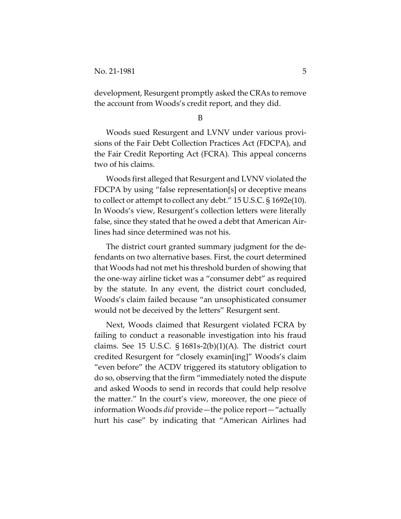development, Resurgent promptly asked the CRAs to remove the account from Woods's credit report, and they did.

B

Woods sued Resurgent and LVNV under various provisions of the Fair Debt Collection Practices Act (FDCPA), and the Fair Credit Reporting Act (FCRA)*.* This appeal concerns two of his claims.

Woods first alleged that Resurgent and LVNV violated the FDCPA by using "false representation[s] or deceptive means to collect or attempt to collect any debt." 15 U.S.C. § 1692e(10). In Woods's view, Resurgent's collection letters were literally false, since they stated that he owed a debt that American Airlines had since determined was not his.

The district court granted summary judgment for the defendants on two alternative bases. First, the court determined that Woods had not met his threshold burden of showing that the one-way airline ticket was a "consumer debt" as required by the statute. In any event, the district court concluded, Woods's claim failed because "an unsophisticated consumer would not be deceived by the letters" Resurgent sent.

Next, Woods claimed that Resurgent violated FCRA by failing to conduct a reasonable investigation into his fraud claims. See 15 U.S.C.  $\S 1681s-2(b)(1)(A)$ . The district court credited Resurgent for "closely examin[ing]" Woods's claim "even before" the ACDV triggered its statutory obligation to do so, observing that the firm "immediately noted the dispute and asked Woods to send in records that could help resolve the matter." In the court's view, moreover, the one piece of information Woods *did* provide—the police report—"actually hurt his case" by indicating that "American Airlines had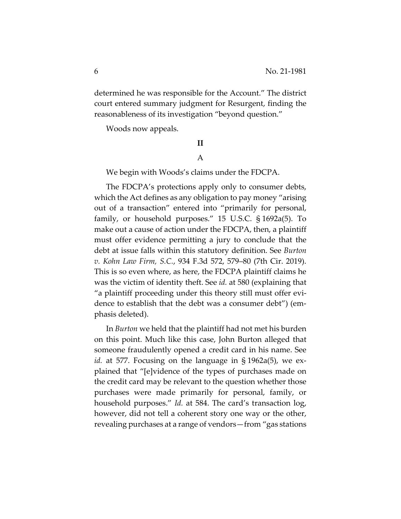determined he was responsible for the Account." The district court entered summary judgment for Resurgent, finding the reasonableness of its investigation "beyond question."

Woods now appeals.

#### **II**

#### A

We begin with Woods's claims under the FDCPA.

The FDCPA's protections apply only to consumer debts, which the Act defines as any obligation to pay money "arising out of a transaction" entered into "primarily for personal, family, or household purposes." 15 U.S.C. § 1692a(5). To make out a cause of action under the FDCPA, then, a plaintiff must offer evidence permitting a jury to conclude that the debt at issue falls within this statutory definition. See *Burton v. Kohn Law Firm, S.C.*, 934 F.3d 572, 579–80 (7th Cir. 2019). This is so even where, as here, the FDCPA plaintiff claims he was the victim of identity theft. See *id.* at 580 (explaining that "a plaintiff proceeding under this theory still must offer evidence to establish that the debt was a consumer debt") (emphasis deleted).

In *Burton* we held that the plaintiff had not met his burden on this point. Much like this case, John Burton alleged that someone fraudulently opened a credit card in his name. See *id.* at 577. Focusing on the language in § 1962a(5), we explained that "[e]vidence of the types of purchases made on the credit card may be relevant to the question whether those purchases were made primarily for personal, family, or household purposes." *Id.* at 584. The card's transaction log, however, did not tell a coherent story one way or the other, revealing purchases at a range of vendors—from "gas stations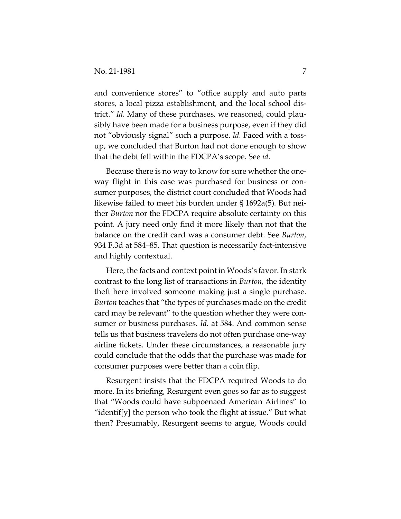and convenience stores" to "office supply and auto parts stores, a local pizza establishment, and the local school district." *Id.* Many of these purchases, we reasoned, could plausibly have been made for a business purpose, even if they did not "obviously signal" such a purpose. *Id.* Faced with a tossup, we concluded that Burton had not done enough to show that the debt fell within the FDCPA's scope. See *id.* 

Because there is no way to know for sure whether the oneway flight in this case was purchased for business or consumer purposes, the district court concluded that Woods had likewise failed to meet his burden under § 1692a(5)*.* But neither *Burton* nor the FDCPA require absolute certainty on this point. A jury need only find it more likely than not that the balance on the credit card was a consumer debt. See *Burton*, 934 F.3d at 584–85. That question is necessarily fact-intensive and highly contextual.

Here, the facts and context point in Woods's favor. In stark contrast to the long list of transactions in *Burton*, the identity theft here involved someone making just a single purchase. *Burton* teaches that "the types of purchases made on the credit card may be relevant" to the question whether they were consumer or business purchases. *Id.* at 584. And common sense tells us that business travelers do not often purchase one-way airline tickets. Under these circumstances, a reasonable jury could conclude that the odds that the purchase was made for consumer purposes were better than a coin flip.

Resurgent insists that the FDCPA required Woods to do more. In its briefing, Resurgent even goes so far as to suggest that "Woods could have subpoenaed American Airlines" to "identif[y] the person who took the flight at issue." But what then? Presumably, Resurgent seems to argue, Woods could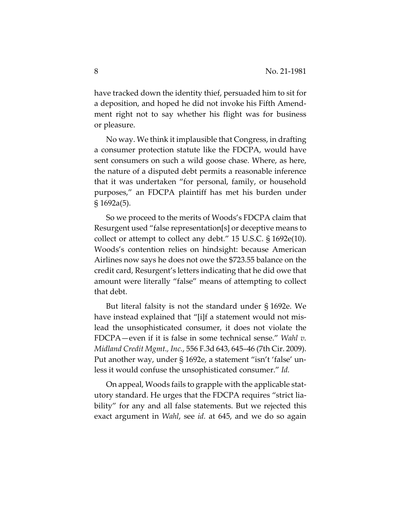have tracked down the identity thief, persuaded him to sit for a deposition, and hoped he did not invoke his Fifth Amendment right not to say whether his flight was for business or pleasure.

No way. We think it implausible that Congress, in drafting a consumer protection statute like the FDCPA, would have sent consumers on such a wild goose chase. Where, as here, the nature of a disputed debt permits a reasonable inference that it was undertaken "for personal, family, or household purposes," an FDCPA plaintiff has met his burden under § 1692a(5).

So we proceed to the merits of Woods's FDCPA claim that Resurgent used "false representation[s] or deceptive means to collect or attempt to collect any debt." 15 U.S.C. § 1692e(10). Woods's contention relies on hindsight: because American Airlines now says he does not owe the \$723.55 balance on the credit card, Resurgent's letters indicating that he did owe that amount were literally "false" means of attempting to collect that debt.

But literal falsity is not the standard under § 1692e. We have instead explained that "[i]f a statement would not mislead the unsophisticated consumer, it does not violate the FDCPA—even if it is false in some technical sense." *Wahl v. Midland Credit Mgmt., Inc.*, 556 F.3d 643, 645–46 (7th Cir. 2009). Put another way, under § 1692e, a statement "isn't 'false' unless it would confuse the unsophisticated consumer." *Id.*

On appeal, Woods fails to grapple with the applicable statutory standard. He urges that the FDCPA requires "strict liability" for any and all false statements. But we rejected this exact argument in *Wahl*, see *id.* at 645, and we do so again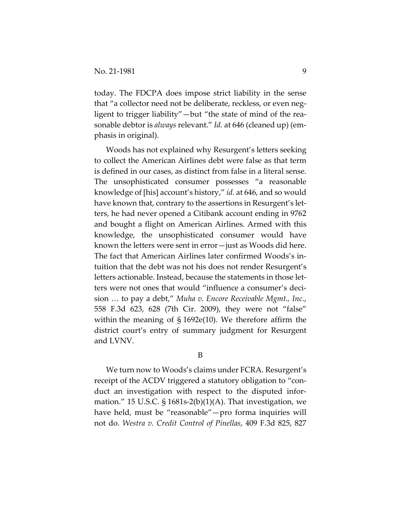today. The FDCPA does impose strict liability in the sense that "a collector need not be deliberate, reckless, or even negligent to trigger liability"—but "the state of mind of the reasonable debtor is *always* relevant." *Id.* at 646 (cleaned up) (emphasis in original).

Woods has not explained why Resurgent's letters seeking to collect the American Airlines debt were false as that term is defined in our cases, as distinct from false in a literal sense. The unsophisticated consumer possesses "a reasonable knowledge of [his] account's history," *id.* at 646, and so would have known that, contrary to the assertions in Resurgent's letters, he had never opened a Citibank account ending in 9762 and bought a flight on American Airlines. Armed with this knowledge, the unsophisticated consumer would have known the letters were sent in error—just as Woods did here. The fact that American Airlines later confirmed Woods's intuition that the debt was not his does not render Resurgent's letters actionable. Instead, because the statements in those letters were not ones that would "influence a consumer's decision … to pay a debt," *Muha v. Encore Receivable Mgmt., Inc.*, 558 F.3d 623, 628 (7th Cir. 2009), they were not "false" within the meaning of § 1692e(10). We therefore affirm the district court's entry of summary judgment for Resurgent and LVNV.

B

We turn now to Woods's claims under FCRA. Resurgent's receipt of the ACDV triggered a statutory obligation to "conduct an investigation with respect to the disputed information." 15 U.S.C.  $\S$  1681s-2(b)(1)(A). That investigation, we have held, must be "reasonable"—pro forma inquiries will not do. *Westra v. Credit Control of Pinellas*, 409 F.3d 825, 827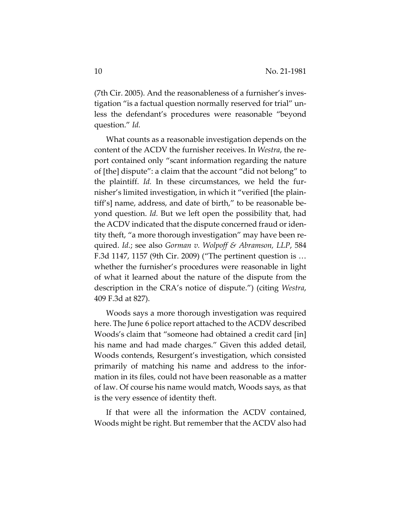(7th Cir. 2005). And the reasonableness of a furnisher's investigation "is a factual question normally reserved for trial" unless the defendant's procedures were reasonable "beyond question." *Id.*

What counts as a reasonable investigation depends on the content of the ACDV the furnisher receives. In *Westra*, the report contained only "scant information regarding the nature of [the] dispute": a claim that the account "did not belong" to the plaintiff. *Id.* In these circumstances, we held the furnisher's limited investigation, in which it "verified [the plaintiff's] name, address, and date of birth," to be reasonable beyond question. *Id.* But we left open the possibility that, had the ACDV indicated that the dispute concerned fraud or identity theft, "a more thorough investigation" may have been required. *Id.*; see also *Gorman v. Wolpoff & Abramson, LLP*, 584 F.3d 1147, 1157 (9th Cir. 2009) ("The pertinent question is … whether the furnisher's procedures were reasonable in light of what it learned about the nature of the dispute from the description in the CRA's notice of dispute.") (citing *Westra*, 409 F.3d at 827).

Woods says a more thorough investigation was required here. The June 6 police report attached to the ACDV described Woods's claim that "someone had obtained a credit card [in] his name and had made charges." Given this added detail, Woods contends, Resurgent's investigation, which consisted primarily of matching his name and address to the information in its files, could not have been reasonable as a matter of law. Of course his name would match, Woods says, as that is the very essence of identity theft.

If that were all the information the ACDV contained, Woods might be right. But remember that the ACDV also had